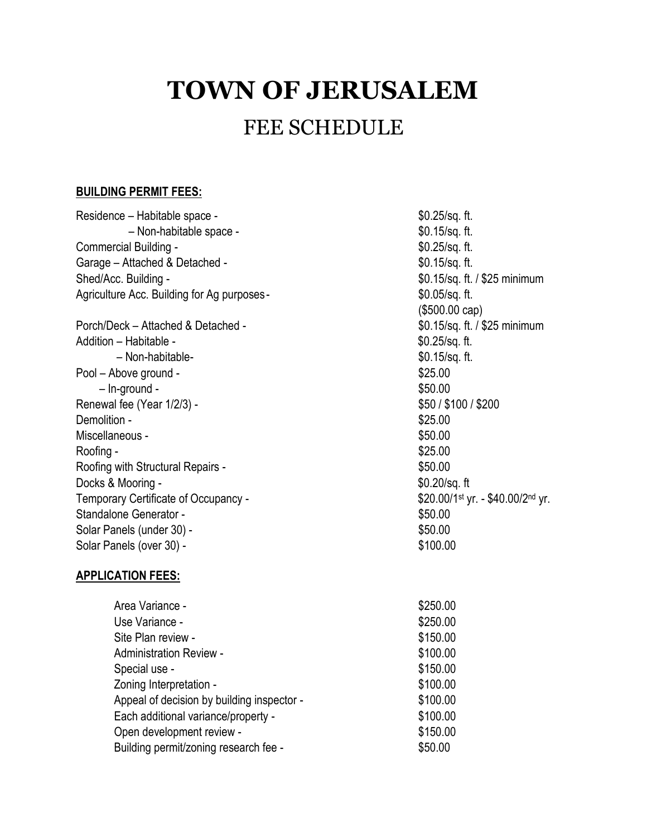# **TOWN OF JERUSALEM**

## FEE SCHEDULE

#### **BUILDING PERMIT FEES:**

| Residence - Habitable space -               | $$0.25$ /sq. ft.                  |
|---------------------------------------------|-----------------------------------|
| - Non-habitable space -                     | $$0.15$ /sq. ft.                  |
| Commercial Building -                       | \$0.25/sq. ft.                    |
| Garage - Attached & Detached -              | $$0.15$ /sq. ft.                  |
| Shed/Acc. Building -                        | \$0.15/sq. ft. / \$25 minimum     |
| Agriculture Acc. Building for Ag purposes - | $$0.05$ /sq. ft.                  |
|                                             | (\$500.00 cap)                    |
| Porch/Deck - Attached & Detached -          | \$0.15/sq. ft. / \$25 minimum     |
| Addition - Habitable -                      | $$0.25$ /sq. ft.                  |
| - Non-habitable-                            | \$0.15/sq. ft.                    |
| Pool - Above ground -                       | \$25.00                           |
| $-$ ln-ground -                             | \$50.00                           |
| Renewal fee (Year 1/2/3) -                  | \$50 / \$100 / \$200              |
| Demolition -                                | \$25.00                           |
| Miscellaneous -                             | \$50.00                           |
| Roofing -                                   | \$25.00                           |
| Roofing with Structural Repairs -           | \$50.00                           |
| Docks & Mooring -                           | $$0.20$ /sq. ft                   |
| Temporary Certificate of Occupancy -        | \$20.00/1st yr. - \$40.00/2nd yr. |
| Standalone Generator -                      | \$50.00                           |
| Solar Panels (under 30) -                   | \$50.00                           |
| Solar Panels (over 30) -                    | \$100.00                          |
|                                             |                                   |

#### **APPLICATION FEES:**

| Area Variance -                            | \$250.00 |
|--------------------------------------------|----------|
| Use Variance -                             | \$250.00 |
| Site Plan review -                         | \$150.00 |
| <b>Administration Review -</b>             | \$100.00 |
| Special use -                              | \$150.00 |
| Zoning Interpretation -                    | \$100.00 |
| Appeal of decision by building inspector - | \$100.00 |
| Each additional variance/property -        | \$100.00 |
| Open development review -                  | \$150.00 |
| Building permit/zoning research fee -      | \$50.00  |